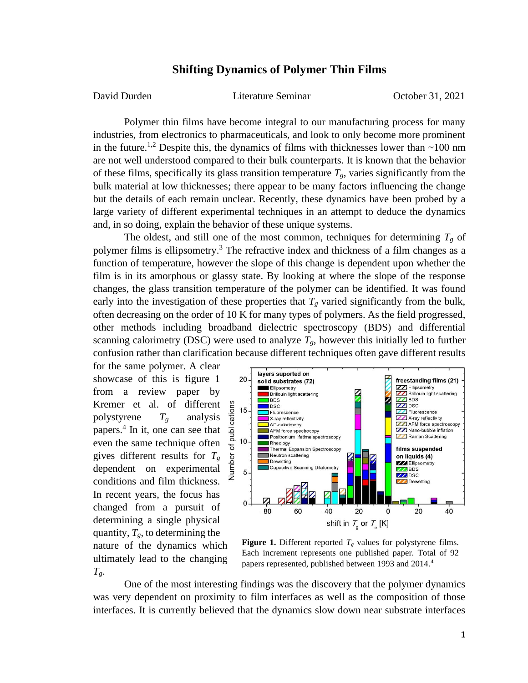## **Shifting Dynamics of Polymer Thin Films**

David Durden Literature Seminar October 31, 2021

Polymer thin films have become integral to our manufacturing process for many industries, from electronics to pharmaceuticals, and look to only become more prominent in the future.<sup>1,2</sup> Despite this, the dynamics of films with thicknesses lower than  $\sim$ 100 nm are not well understood compared to their bulk counterparts. It is known that the behavior of these films, specifically its glass transition temperature  $T_g$ , varies significantly from the bulk material at low thicknesses; there appear to be many factors influencing the change but the details of each remain unclear. Recently, these dynamics have been probed by a large variety of different experimental techniques in an attempt to deduce the dynamics and, in so doing, explain the behavior of these unique systems.

The oldest, and still one of the most common, techniques for determining  $T_g$  of polymer films is ellipsometry.<sup>3</sup> The refractive index and thickness of a film changes as a function of temperature, however the slope of this change is dependent upon whether the film is in its amorphous or glassy state. By looking at where the slope of the response changes, the glass transition temperature of the polymer can be identified. It was found early into the investigation of these properties that  $T_g$  varied significantly from the bulk, often decreasing on the order of 10 K for many types of polymers. As the field progressed, other methods including broadband dielectric spectroscopy (BDS) and differential scanning calorimetry (DSC) were used to analyze  $T_g$ , however this initially led to further confusion rather than clarification because different techniques often gave different results

for the same polymer. A clear showcase of this is figure 1 from a review paper by Kremer et al. of different polystyrene  $T_g$  analysis papers.<sup>4</sup> In it, one can see that even the same technique often gives different results for *T<sup>g</sup>* dependent on experimental conditions and film thickness. In recent years, the focus has changed from a pursuit of determining a single physical quantity,  $T_g$ , to determining the nature of the dynamics which ultimately lead to the changing  $T_g$ .



**Figure 1.** Different reported  $T_g$  values for polystyrene films. Each increment represents one published paper. Total of 92 papers represented, published between 1993 and 2014.4

One of the most interesting findings was the discovery that the polymer dynamics was very dependent on proximity to film interfaces as well as the composition of those interfaces. It is currently believed that the dynamics slow down near substrate interfaces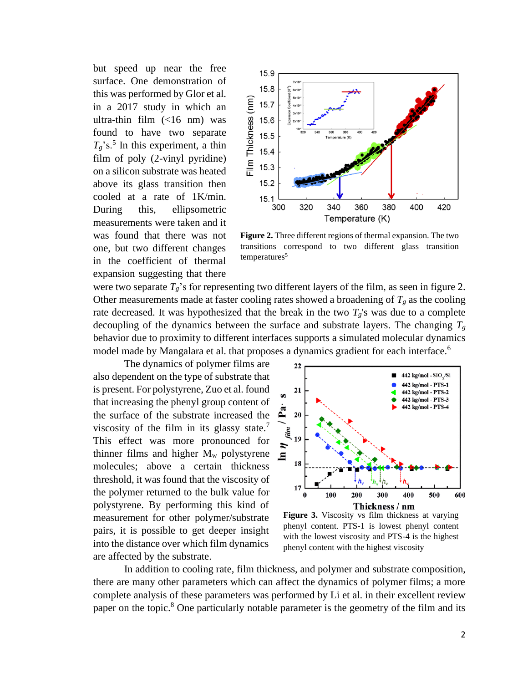but speed up near the free surface. One demonstration of this was performed by Glor et al. in a 2017 study in which an ultra-thin film (<16 nm) was found to have two separate  $T_g$ 's.<sup>5</sup> In this experiment, a thin film of poly (2-vinyl pyridine) on a silicon substrate was heated above its glass transition then cooled at a rate of 1K/min. During this, ellipsometric measurements were taken and it was found that there was not one, but two different changes in the coefficient of thermal expansion suggesting that there



**Figure 2.** Three different regions of thermal expansion. The two transitions correspond to two different glass transition temperatures<sup>5</sup>

were two separate  $T_g$ 's for representing two different layers of the film, as seen in figure 2. Other measurements made at faster cooling rates showed a broadening of  $T_g$  as the cooling rate decreased. It was hypothesized that the break in the two  $T_g$ 's was due to a complete decoupling of the dynamics between the surface and substrate layers. The changing  $T_g$ behavior due to proximity to different interfaces supports a simulated molecular dynamics model made by Mangalara et al. that proposes a dynamics gradient for each interface.<sup>6</sup>

The dynamics of polymer films are also dependent on the type of substrate that is present. For polystyrene, Zuo et al. found that increasing the phenyl group content of the surface of the substrate increased the viscosity of the film in its glassy state.<sup>7</sup> This effect was more pronounced for thinner films and higher  $M_w$  polystyrene molecules; above a certain thickness threshold, it was found that the viscosity of the polymer returned to the bulk value for polystyrene. By performing this kind of measurement for other polymer/substrate pairs, it is possible to get deeper insight into the distance over which film dynamics are affected by the substrate.



**Figure 3.** Viscosity vs film thickness at varying phenyl content. PTS-1 is lowest phenyl content with the lowest viscosity and PTS-4 is the highest phenyl content with the highest viscosity

In addition to cooling rate, film thickness, and polymer and substrate composition, there are many other parameters which can affect the dynamics of polymer films; a more complete analysis of these parameters was performed by Li et al. in their excellent review paper on the topic.<sup>8</sup> One particularly notable parameter is the geometry of the film and its